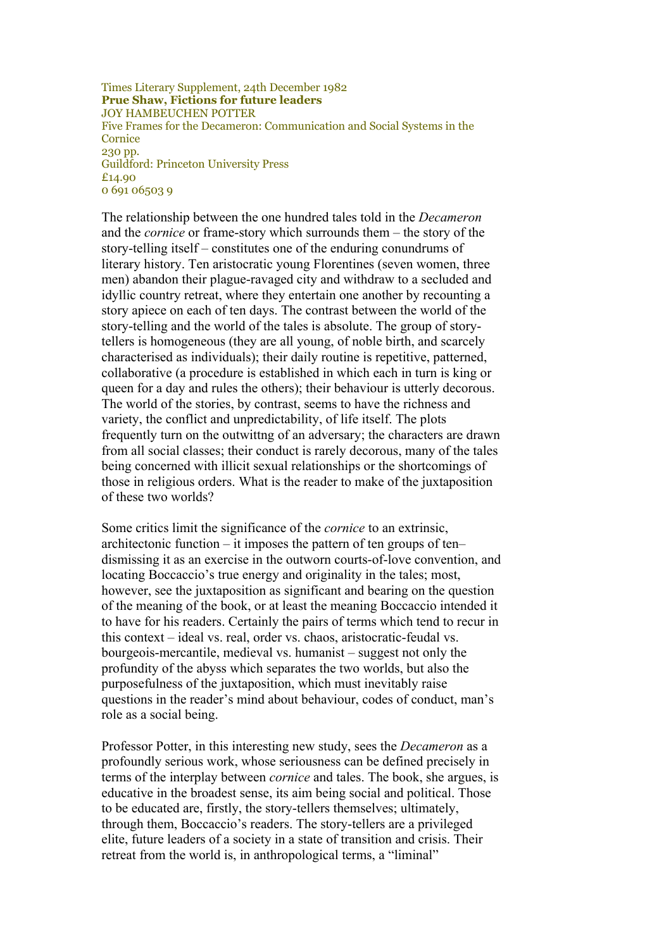Times Literary Supplement, 24th December 1982 **Prue Shaw, Fictions for future leaders** JOY HAMBEUCHEN POTTER Five Frames for the Decameron: Communication and Social Systems in the **Cornice** 230 pp. Guildford: Princeton University Press £14.90 0 691 06503 9

The relationship between the one hundred tales told in the *Decameron* and the *cornice* or frame-story which surrounds them – the story of the story-telling itself – constitutes one of the enduring conundrums of literary history. Ten aristocratic young Florentines (seven women, three men) abandon their plague-ravaged city and withdraw to a secluded and idyllic country retreat, where they entertain one another by recounting a story apiece on each of ten days. The contrast between the world of the story-telling and the world of the tales is absolute. The group of storytellers is homogeneous (they are all young, of noble birth, and scarcely characterised as individuals); their daily routine is repetitive, patterned, collaborative (a procedure is established in which each in turn is king or queen for a day and rules the others); their behaviour is utterly decorous. The world of the stories, by contrast, seems to have the richness and variety, the conflict and unpredictability, of life itself. The plots frequently turn on the outwittng of an adversary; the characters are drawn from all social classes; their conduct is rarely decorous, many of the tales being concerned with illicit sexual relationships or the shortcomings of those in religious orders. What is the reader to make of the juxtaposition of these two worlds?

Some critics limit the significance of the *cornice* to an extrinsic, architectonic function – it imposes the pattern of ten groups of ten– dismissing it as an exercise in the outworn courts-of-love convention, and locating Boccaccio's true energy and originality in the tales; most, however, see the juxtaposition as significant and bearing on the question of the meaning of the book, or at least the meaning Boccaccio intended it to have for his readers. Certainly the pairs of terms which tend to recur in this context – ideal vs. real, order vs. chaos, aristocratic-feudal vs. bourgeois-mercantile, medieval vs. humanist – suggest not only the profundity of the abyss which separates the two worlds, but also the purposefulness of the juxtaposition, which must inevitably raise questions in the reader's mind about behaviour, codes of conduct, man's role as a social being.

Professor Potter, in this interesting new study, sees the *Decameron* as a profoundly serious work, whose seriousness can be defined precisely in terms of the interplay between *cornice* and tales. The book, she argues, is educative in the broadest sense, its aim being social and political. Those to be educated are, firstly, the story-tellers themselves; ultimately, through them, Boccaccio's readers. The story-tellers are a privileged elite, future leaders of a society in a state of transition and crisis. Their retreat from the world is, in anthropological terms, a "liminal"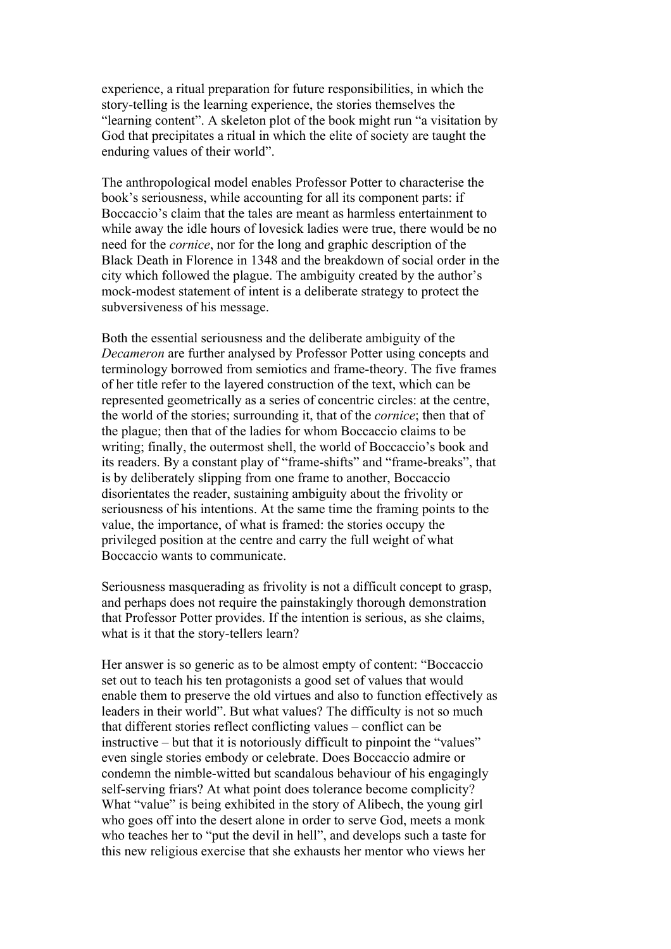experience, a ritual preparation for future responsibilities, in which the story-telling is the learning experience, the stories themselves the "learning content". A skeleton plot of the book might run "a visitation by God that precipitates a ritual in which the elite of society are taught the enduring values of their world".

The anthropological model enables Professor Potter to characterise the book's seriousness, while accounting for all its component parts: if Boccaccio's claim that the tales are meant as harmless entertainment to while away the idle hours of lovesick ladies were true, there would be no need for the *cornice*, nor for the long and graphic description of the Black Death in Florence in 1348 and the breakdown of social order in the city which followed the plague. The ambiguity created by the author's mock-modest statement of intent is a deliberate strategy to protect the subversiveness of his message.

Both the essential seriousness and the deliberate ambiguity of the *Decameron* are further analysed by Professor Potter using concepts and terminology borrowed from semiotics and frame-theory. The five frames of her title refer to the layered construction of the text, which can be represented geometrically as a series of concentric circles: at the centre, the world of the stories; surrounding it, that of the *cornice*; then that of the plague; then that of the ladies for whom Boccaccio claims to be writing; finally, the outermost shell, the world of Boccaccio's book and its readers. By a constant play of "frame-shifts" and "frame-breaks", that is by deliberately slipping from one frame to another, Boccaccio disorientates the reader, sustaining ambiguity about the frivolity or seriousness of his intentions. At the same time the framing points to the value, the importance, of what is framed: the stories occupy the privileged position at the centre and carry the full weight of what Boccaccio wants to communicate.

Seriousness masquerading as frivolity is not a difficult concept to grasp, and perhaps does not require the painstakingly thorough demonstration that Professor Potter provides. If the intention is serious, as she claims, what is it that the story-tellers learn?

Her answer is so generic as to be almost empty of content: "Boccaccio set out to teach his ten protagonists a good set of values that would enable them to preserve the old virtues and also to function effectively as leaders in their world". But what values? The difficulty is not so much that different stories reflect conflicting values – conflict can be instructive – but that it is notoriously difficult to pinpoint the "values" even single stories embody or celebrate. Does Boccaccio admire or condemn the nimble-witted but scandalous behaviour of his engagingly self-serving friars? At what point does tolerance become complicity? What "value" is being exhibited in the story of Alibech, the young girl who goes off into the desert alone in order to serve God, meets a monk who teaches her to "put the devil in hell", and develops such a taste for this new religious exercise that she exhausts her mentor who views her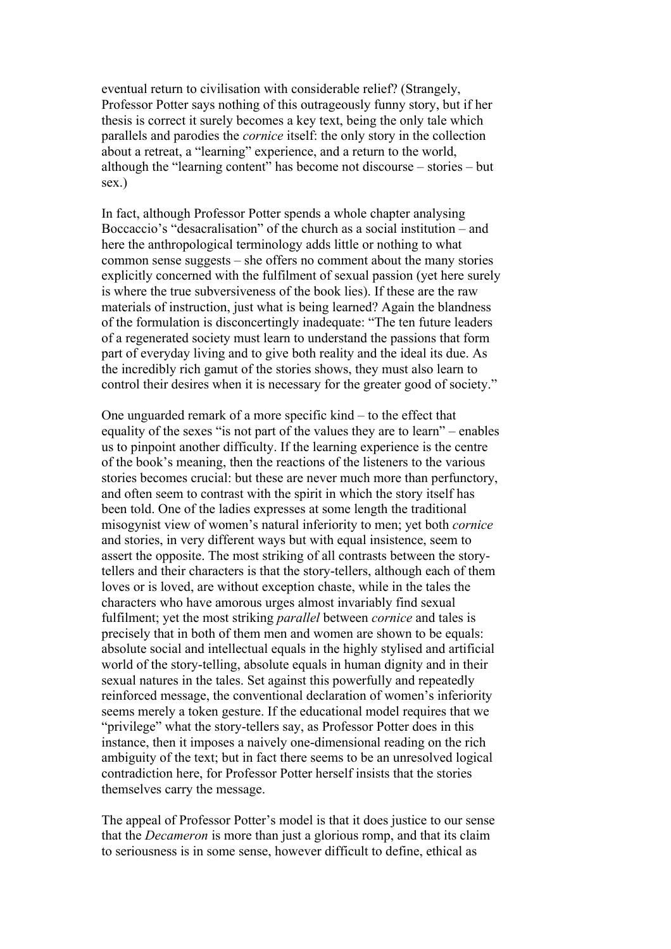eventual return to civilisation with considerable relief? (Strangely, Professor Potter says nothing of this outrageously funny story, but if her thesis is correct it surely becomes a key text, being the only tale which parallels and parodies the *cornice* itself: the only story in the collection about a retreat, a "learning" experience, and a return to the world, although the "learning content" has become not discourse – stories – but sex.)

In fact, although Professor Potter spends a whole chapter analysing Boccaccio's "desacralisation" of the church as a social institution – and here the anthropological terminology adds little or nothing to what common sense suggests – she offers no comment about the many stories explicitly concerned with the fulfilment of sexual passion (yet here surely is where the true subversiveness of the book lies). If these are the raw materials of instruction, just what is being learned? Again the blandness of the formulation is disconcertingly inadequate: "The ten future leaders of a regenerated society must learn to understand the passions that form part of everyday living and to give both reality and the ideal its due. As the incredibly rich gamut of the stories shows, they must also learn to control their desires when it is necessary for the greater good of society."

One unguarded remark of a more specific kind – to the effect that equality of the sexes "is not part of the values they are to learn" – enables us to pinpoint another difficulty. If the learning experience is the centre of the book's meaning, then the reactions of the listeners to the various stories becomes crucial: but these are never much more than perfunctory, and often seem to contrast with the spirit in which the story itself has been told. One of the ladies expresses at some length the traditional misogynist view of women's natural inferiority to men; yet both *cornice* and stories, in very different ways but with equal insistence, seem to assert the opposite. The most striking of all contrasts between the storytellers and their characters is that the story-tellers, although each of them loves or is loved, are without exception chaste, while in the tales the characters who have amorous urges almost invariably find sexual fulfilment; yet the most striking *parallel* between *cornice* and tales is precisely that in both of them men and women are shown to be equals: absolute social and intellectual equals in the highly stylised and artificial world of the story-telling, absolute equals in human dignity and in their sexual natures in the tales. Set against this powerfully and repeatedly reinforced message, the conventional declaration of women's inferiority seems merely a token gesture. If the educational model requires that we "privilege" what the story-tellers say, as Professor Potter does in this instance, then it imposes a naively one-dimensional reading on the rich ambiguity of the text; but in fact there seems to be an unresolved logical contradiction here, for Professor Potter herself insists that the stories themselves carry the message.

The appeal of Professor Potter's model is that it does justice to our sense that the *Decameron* is more than just a glorious romp, and that its claim to seriousness is in some sense, however difficult to define, ethical as